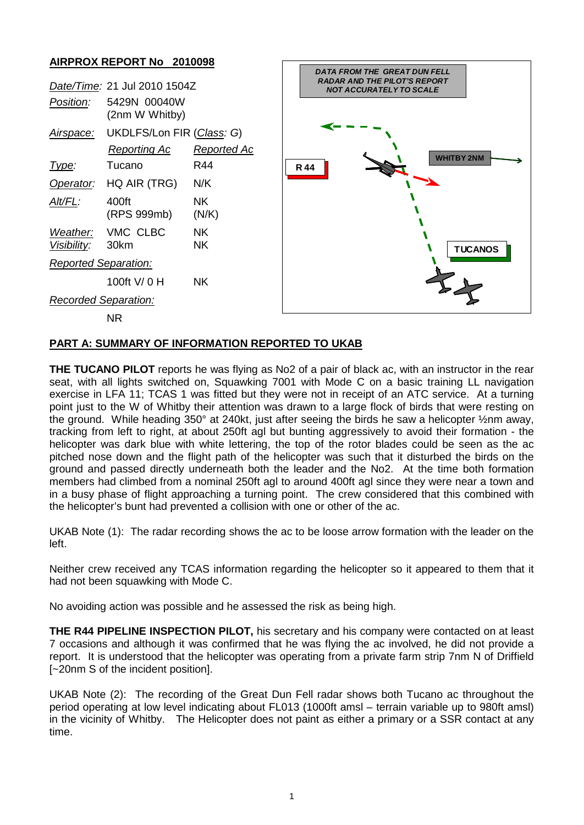## **AIRPROX REPORT No 2010098**

| Date/Time: 21 Jul 2010 1504Z |                                           |              |
|------------------------------|-------------------------------------------|--------------|
| Position:                    | 5429N 00040W<br>(2nm W Whitby)            |              |
| <u>Airspace:</u>             | UKDLFS/Lon FIR (Class: G)<br>Reporting Ac | Reported Ac  |
| <u> I ype:</u>               | Tucano                                    | R44          |
| Operator:                    | HQ AIR (TRG)                              | N/K          |
| AIt/FL:                      | 400ft<br>(RPS 999mb)                      | NK.<br>(N/K) |
| Visibility: 30km             | Weather: VMC CLBC                         | ΝK<br>ΝK     |
| <b>Reported Separation:</b>  |                                           |              |
|                              | 100ft V/ 0 H                              | NK.          |
| Recorded Separation:         |                                           |              |
|                              | חות                                       |              |



NR

## **PART A: SUMMARY OF INFORMATION REPORTED TO UKAB**

**THE TUCANO PILOT** reports he was flying as No2 of a pair of black ac, with an instructor in the rear seat, with all lights switched on, Squawking 7001 with Mode C on a basic training LL navigation exercise in LFA 11; TCAS 1 was fitted but they were not in receipt of an ATC service. At a turning point just to the W of Whitby their attention was drawn to a large flock of birds that were resting on the ground. While heading 350° at 240kt, just after seeing the birds he saw a helicopter ½nm away, tracking from left to right, at about 250ft agl but bunting aggressively to avoid their formation - the helicopter was dark blue with white lettering, the top of the rotor blades could be seen as the ac pitched nose down and the flight path of the helicopter was such that it disturbed the birds on the ground and passed directly underneath both the leader and the No2. At the time both formation members had climbed from a nominal 250ft agl to around 400ft agl since they were near a town and in a busy phase of flight approaching a turning point. The crew considered that this combined with the helicopter's bunt had prevented a collision with one or other of the ac.

UKAB Note (1): The radar recording shows the ac to be loose arrow formation with the leader on the left.

Neither crew received any TCAS information regarding the helicopter so it appeared to them that it had not been squawking with Mode C.

No avoiding action was possible and he assessed the risk as being high.

**THE R44 PIPELINE INSPECTION PILOT,** his secretary and his company were contacted on at least 7 occasions and although it was confirmed that he was flying the ac involved, he did not provide a report. It is understood that the helicopter was operating from a private farm strip 7nm N of Driffield [~20nm S of the incident position].

UKAB Note (2): The recording of the Great Dun Fell radar shows both Tucano ac throughout the period operating at low level indicating about FL013 (1000ft amsl – terrain variable up to 980ft amsl) in the vicinity of Whitby. The Helicopter does not paint as either a primary or a SSR contact at any time.